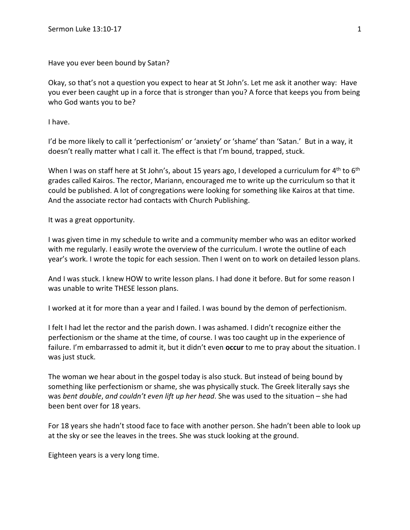Have you ever been bound by Satan?

Okay, so that's not a question you expect to hear at St John's. Let me ask it another way: Have you ever been caught up in a force that is stronger than you? A force that keeps you from being who God wants you to be?

I have.

I'd be more likely to call it 'perfectionism' or 'anxiety' or 'shame' than 'Satan.' But in a way, it doesn't really matter what I call it. The effect is that I'm bound, trapped, stuck.

When I was on staff here at St John's, about 15 years ago, I developed a curriculum for 4<sup>th</sup> to 6<sup>th</sup> grades called Kairos. The rector, Mariann, encouraged me to write up the curriculum so that it could be published. A lot of congregations were looking for something like Kairos at that time. And the associate rector had contacts with Church Publishing.

It was a great opportunity.

I was given time in my schedule to write and a community member who was an editor worked with me regularly. I easily wrote the overview of the curriculum. I wrote the outline of each year's work. I wrote the topic for each session. Then I went on to work on detailed lesson plans.

And I was stuck. I knew HOW to write lesson plans. I had done it before. But for some reason I was unable to write THESE lesson plans.

I worked at it for more than a year and I failed. I was bound by the demon of perfectionism.

I felt I had let the rector and the parish down. I was ashamed. I didn't recognize either the perfectionism or the shame at the time, of course. I was too caught up in the experience of failure. I'm embarrassed to admit it, but it didn't even **occur** to me to pray about the situation. I was just stuck.

The woman we hear about in the gospel today is also stuck. But instead of being bound by something like perfectionism or shame, she was physically stuck. The Greek literally says she was *bent double*, *and couldn't even lift up her head*. She was used to the situation – she had been bent over for 18 years.

For 18 years she hadn't stood face to face with another person. She hadn't been able to look up at the sky or see the leaves in the trees. She was stuck looking at the ground.

Eighteen years is a very long time.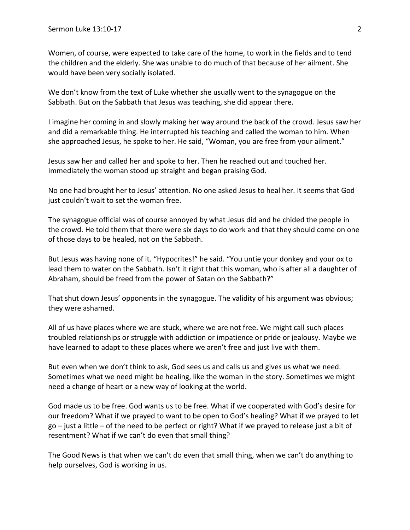Women, of course, were expected to take care of the home, to work in the fields and to tend the children and the elderly. She was unable to do much of that because of her ailment. She would have been very socially isolated.

We don't know from the text of Luke whether she usually went to the synagogue on the Sabbath. But on the Sabbath that Jesus was teaching, she did appear there.

I imagine her coming in and slowly making her way around the back of the crowd. Jesus saw her and did a remarkable thing. He interrupted his teaching and called the woman to him. When she approached Jesus, he spoke to her. He said, "Woman, you are free from your ailment."

Jesus saw her and called her and spoke to her. Then he reached out and touched her. Immediately the woman stood up straight and began praising God.

No one had brought her to Jesus' attention. No one asked Jesus to heal her. It seems that God just couldn't wait to set the woman free.

The synagogue official was of course annoyed by what Jesus did and he chided the people in the crowd. He told them that there were six days to do work and that they should come on one of those days to be healed, not on the Sabbath.

But Jesus was having none of it. "Hypocrites!" he said. "You untie your donkey and your ox to lead them to water on the Sabbath. Isn't it right that this woman, who is after all a daughter of Abraham, should be freed from the power of Satan on the Sabbath?"

That shut down Jesus' opponents in the synagogue. The validity of his argument was obvious; they were ashamed.

All of us have places where we are stuck, where we are not free. We might call such places troubled relationships or struggle with addiction or impatience or pride or jealousy. Maybe we have learned to adapt to these places where we aren't free and just live with them.

But even when we don't think to ask, God sees us and calls us and gives us what we need. Sometimes what we need might be healing, like the woman in the story. Sometimes we might need a change of heart or a new way of looking at the world.

God made us to be free. God wants us to be free. What if we cooperated with God's desire for our freedom? What if we prayed to want to be open to God's healing? What if we prayed to let go – just a little – of the need to be perfect or right? What if we prayed to release just a bit of resentment? What if we can't do even that small thing?

The Good News is that when we can't do even that small thing, when we can't do anything to help ourselves, God is working in us.